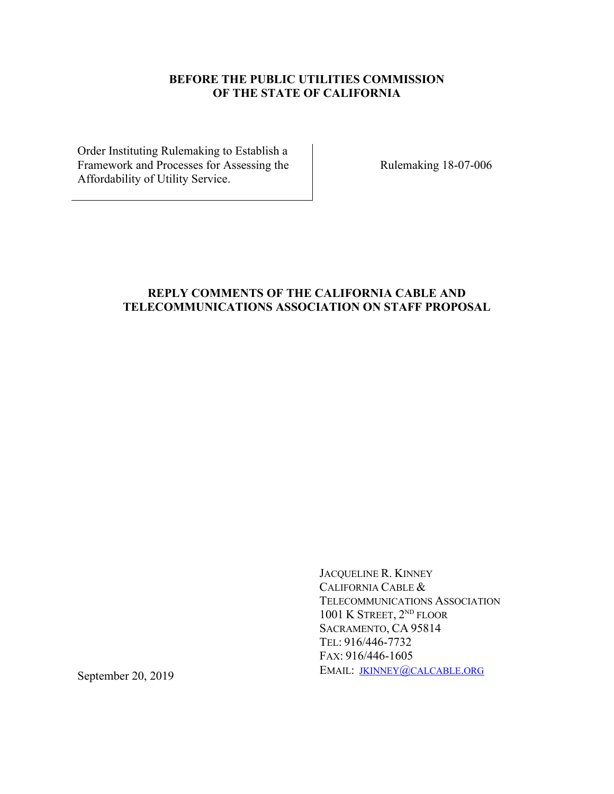### **BEFORE THE PUBLIC UTILITIES COMMISSION OF THE STATE OF CALIFORNIA**

Order Instituting Rulemaking to Establish a Framework and Processes for Assessing the Affordability of Utility Service.

Rulemaking 18-07-006

# **REPLY COMMENTS OF THE CALIFORNIA CABLE AND TELECOMMUNICATIONS ASSOCIATION ON STAFF PROPOSAL**

JACQUELINE R. KINNEY CALIFORNIA CABLE & TELECOMMUNICATIONS ASSOCIATION 1001 K STREET, 2<sup>ND</sup> FLOOR SACRAMENTO, CA 95814 TEL: 916/446-7732 FAX: 916/446-1605 EMAIL: JKINNEY@CALCABLE.ORG

September 20, 2019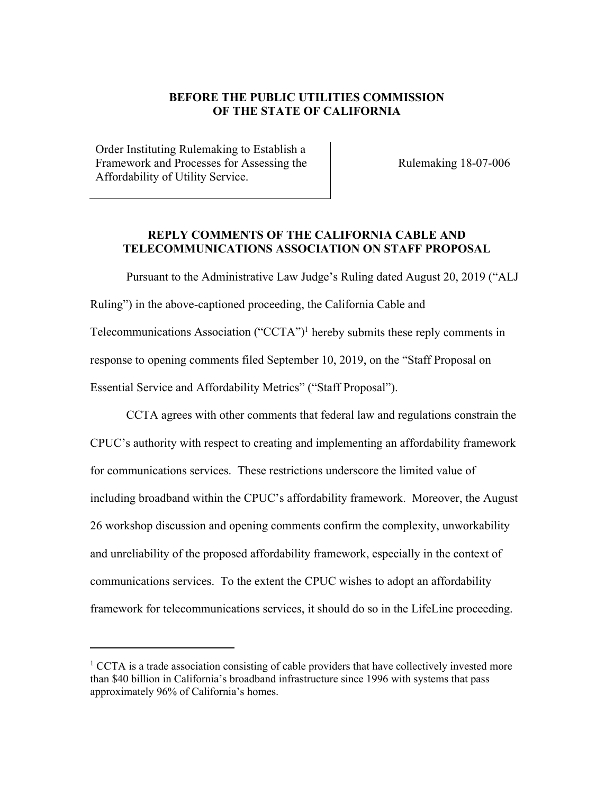#### **BEFORE THE PUBLIC UTILITIES COMMISSION OF THE STATE OF CALIFORNIA**

Order Instituting Rulemaking to Establish a Framework and Processes for Assessing the Affordability of Utility Service.

Rulemaking 18-07-006

#### **REPLY COMMENTS OF THE CALIFORNIA CABLE AND TELECOMMUNICATIONS ASSOCIATION ON STAFF PROPOSAL**

Pursuant to the Administrative Law Judge's Ruling dated August 20, 2019 ("ALJ Ruling") in the above-captioned proceeding, the California Cable and Telecommunications Association ("CCTA")1 hereby submits these reply comments in response to opening comments filed September 10, 2019, on the "Staff Proposal on Essential Service and Affordability Metrics" ("Staff Proposal").

CCTA agrees with other comments that federal law and regulations constrain the CPUC's authority with respect to creating and implementing an affordability framework for communications services. These restrictions underscore the limited value of including broadband within the CPUC's affordability framework. Moreover, the August 26 workshop discussion and opening comments confirm the complexity, unworkability and unreliability of the proposed affordability framework, especially in the context of communications services. To the extent the CPUC wishes to adopt an affordability framework for telecommunications services, it should do so in the LifeLine proceeding.

 $1$ <sup>1</sup> CCTA is a trade association consisting of cable providers that have collectively invested more than \$40 billion in California's broadband infrastructure since 1996 with systems that pass approximately 96% of California's homes.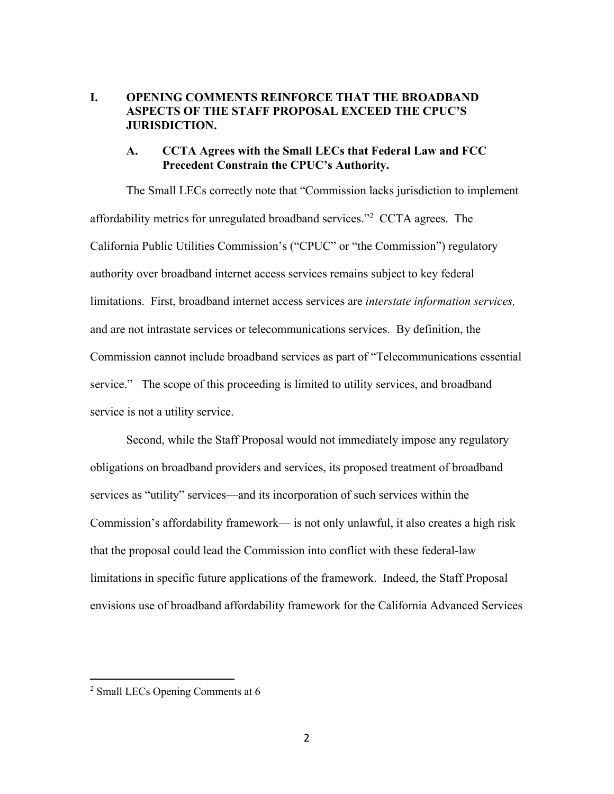### **I. OPENING COMMENTS REINFORCE THAT THE BROADBAND ASPECTS OF THE STAFF PROPOSAL EXCEED THE CPUC'S JURISDICTION.**

### **A. CCTA Agrees with the Small LECs that Federal Law and FCC Precedent Constrain the CPUC's Authority.**

The Small LECs correctly note that "Commission lacks jurisdiction to implement affordability metrics for unregulated broadband services."2 CCTA agrees. The California Public Utilities Commission's ("CPUC" or "the Commission") regulatory authority over broadband internet access services remains subject to key federal limitations. First, broadband internet access services are *interstate information services,*  and are not intrastate services or telecommunications services. By definition, the Commission cannot include broadband services as part of "Telecommunications essential service." The scope of this proceeding is limited to utility services, and broadband service is not a utility service.

Second, while the Staff Proposal would not immediately impose any regulatory obligations on broadband providers and services, its proposed treatment of broadband services as "utility" services—and its incorporation of such services within the Commission's affordability framework— is not only unlawful, it also creates a high risk that the proposal could lead the Commission into conflict with these federal-law limitations in specific future applications of the framework. Indeed, the Staff Proposal envisions use of broadband affordability framework for the California Advanced Services

 $2$  Small LECs Opening Comments at 6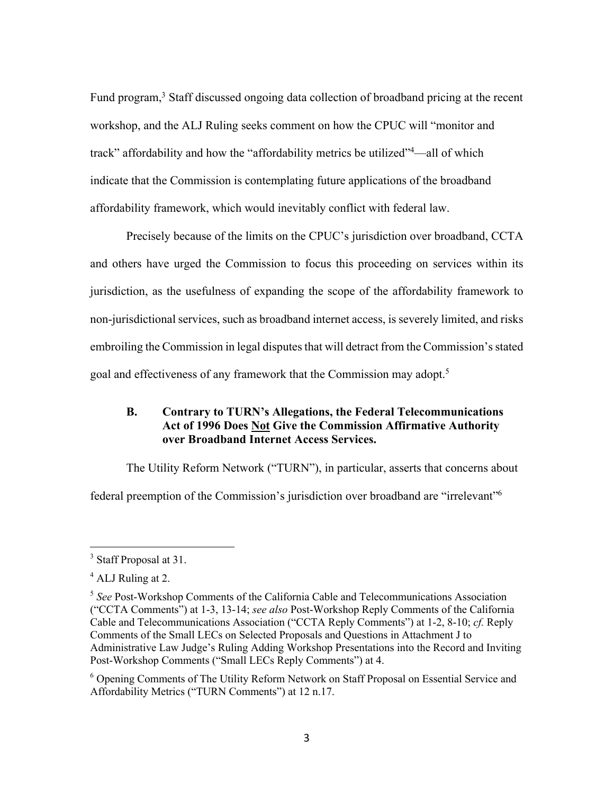Fund program,<sup>3</sup> Staff discussed ongoing data collection of broadband pricing at the recent workshop, and the ALJ Ruling seeks comment on how the CPUC will "monitor and track" affordability and how the "affordability metrics be utilized"4—all of which indicate that the Commission is contemplating future applications of the broadband affordability framework, which would inevitably conflict with federal law.

Precisely because of the limits on the CPUC's jurisdiction over broadband, CCTA and others have urged the Commission to focus this proceeding on services within its jurisdiction, as the usefulness of expanding the scope of the affordability framework to non-jurisdictional services, such as broadband internet access, is severely limited, and risks embroiling the Commission in legal disputes that will detract from the Commission's stated goal and effectiveness of any framework that the Commission may adopt.<sup>5</sup>

# **B. Contrary to TURN's Allegations, the Federal Telecommunications Act of 1996 Does Not Give the Commission Affirmative Authority over Broadband Internet Access Services.**

The Utility Reform Network ("TURN"), in particular, asserts that concerns about federal preemption of the Commission's jurisdiction over broadband are "irrelevant"6

<sup>&</sup>lt;sup>3</sup> Staff Proposal at 31.

 $4$  ALJ Ruling at 2.

<sup>5</sup> *See* Post-Workshop Comments of the California Cable and Telecommunications Association ("CCTA Comments") at 1-3, 13-14; *see also* Post-Workshop Reply Comments of the California Cable and Telecommunications Association ("CCTA Reply Comments") at 1-2, 8-10; *cf.* Reply Comments of the Small LECs on Selected Proposals and Questions in Attachment J to Administrative Law Judge's Ruling Adding Workshop Presentations into the Record and Inviting Post-Workshop Comments ("Small LECs Reply Comments") at 4.

<sup>6</sup> Opening Comments of The Utility Reform Network on Staff Proposal on Essential Service and Affordability Metrics ("TURN Comments") at 12 n.17.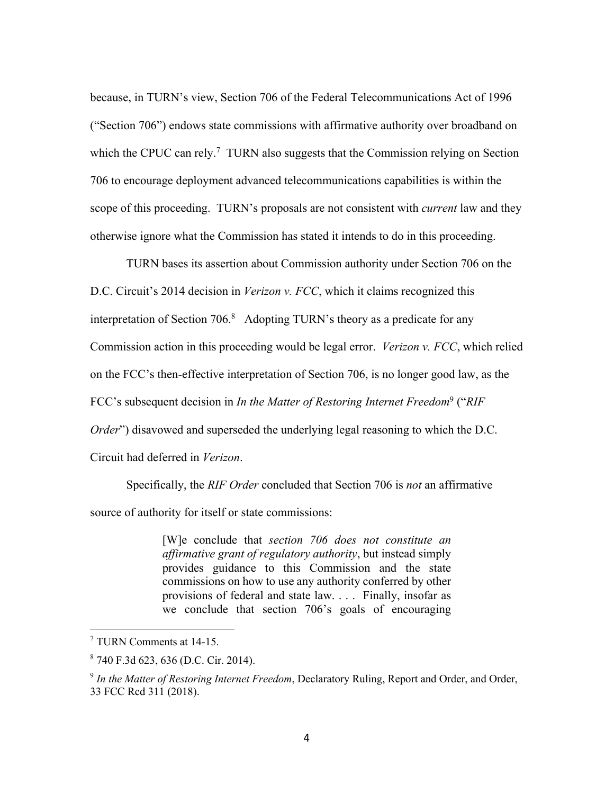because, in TURN's view, Section 706 of the Federal Telecommunications Act of 1996 ("Section 706") endows state commissions with affirmative authority over broadband on which the CPUC can rely.<sup>7</sup> TURN also suggests that the Commission relying on Section 706 to encourage deployment advanced telecommunications capabilities is within the scope of this proceeding. TURN's proposals are not consistent with *current* law and they otherwise ignore what the Commission has stated it intends to do in this proceeding.

TURN bases its assertion about Commission authority under Section 706 on the D.C. Circuit's 2014 decision in *Verizon v. FCC*, which it claims recognized this interpretation of Section 706. 8 Adopting TURN's theory as a predicate for any Commission action in this proceeding would be legal error. *Verizon v. FCC*, which relied on the FCC's then-effective interpretation of Section 706, is no longer good law, as the FCC's subsequent decision in *In the Matter of Restoring Internet Freedom*<sup>9</sup> ("*RIF Order*") disavowed and superseded the underlying legal reasoning to which the D.C. Circuit had deferred in *Verizon*.

Specifically, the *RIF Order* concluded that Section 706 is *not* an affirmative source of authority for itself or state commissions:

> [W]e conclude that *section 706 does not constitute an affirmative grant of regulatory authority*, but instead simply provides guidance to this Commission and the state commissions on how to use any authority conferred by other provisions of federal and state law. . . . Finally, insofar as we conclude that section 706's goals of encouraging

<sup>7</sup> TURN Comments at 14-15.

<sup>8</sup> 740 F.3d 623, 636 (D.C. Cir. 2014).

<sup>9</sup> *In the Matter of Restoring Internet Freedom*, Declaratory Ruling, Report and Order, and Order, 33 FCC Rcd 311 (2018).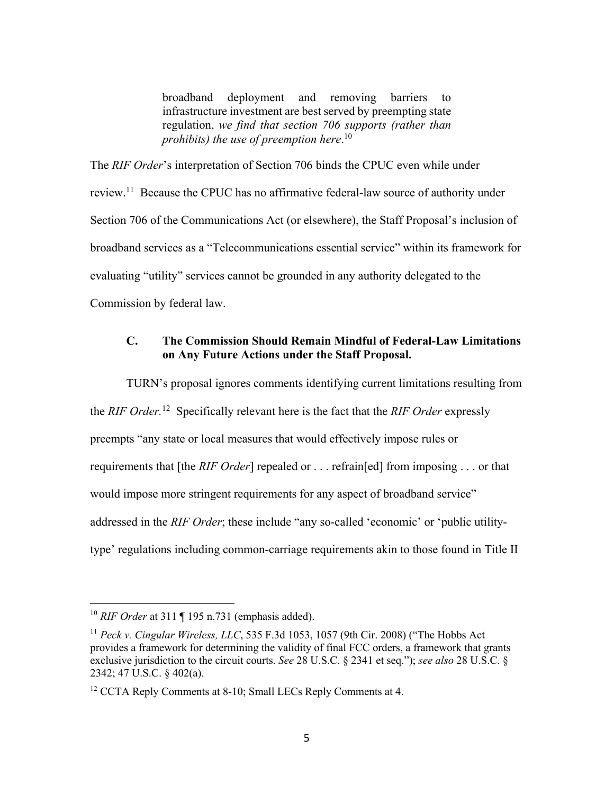broadband deployment and removing barriers to infrastructure investment are best served by preempting state regulation, *we find that section 706 supports (rather than prohibits) the use of preemption here*. 10

The *RIF Order*'s interpretation of Section 706 binds the CPUC even while under review.<sup>11</sup> Because the CPUC has no affirmative federal-law source of authority under Section 706 of the Communications Act (or elsewhere), the Staff Proposal's inclusion of broadband services as a "Telecommunications essential service" within its framework for evaluating "utility" services cannot be grounded in any authority delegated to the Commission by federal law.

### **C. The Commission Should Remain Mindful of Federal-Law Limitations on Any Future Actions under the Staff Proposal.**

TURN's proposal ignores comments identifying current limitations resulting from the *RIF Order.*12 Specifically relevant here is the fact that the *RIF Order* expressly preempts "any state or local measures that would effectively impose rules or requirements that [the *RIF Order*] repealed or . . . refrain[ed] from imposing . . . or that would impose more stringent requirements for any aspect of broadband service" addressed in the *RIF Order*; these include "any so-called 'economic' or 'public utilitytype' regulations including common-carriage requirements akin to those found in Title II

<sup>10</sup> *RIF Order* at 311 ¶ 195 n.731 (emphasis added).

<sup>11</sup> *Peck v. Cingular Wireless, LLC*, 535 F.3d 1053, 1057 (9th Cir. 2008) ("The Hobbs Act provides a framework for determining the validity of final FCC orders, a framework that grants exclusive jurisdiction to the circuit courts. *See* 28 U.S.C. § 2341 et seq."); *see also* 28 U.S.C. § 2342; 47 U.S.C. § 402(a).

 $12$  CCTA Reply Comments at 8-10; Small LECs Reply Comments at 4.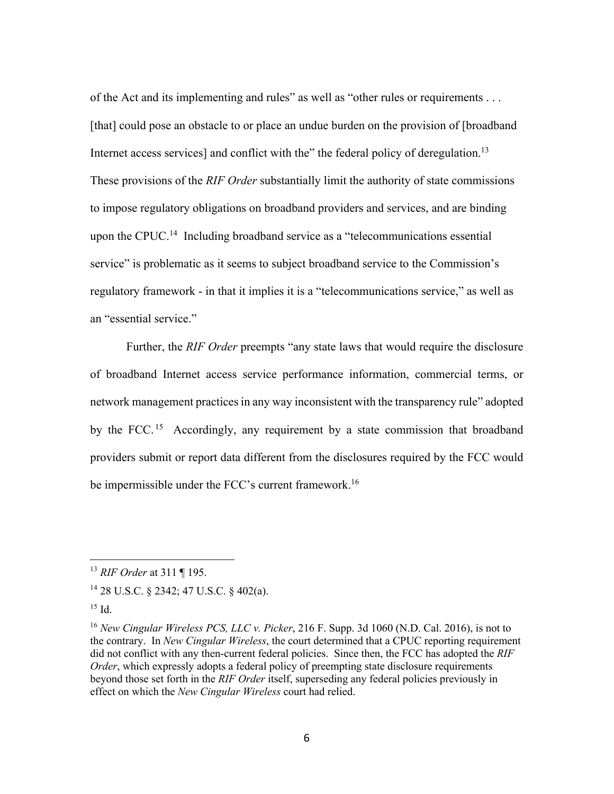of the Act and its implementing and rules" as well as "other rules or requirements . . . [that] could pose an obstacle to or place an undue burden on the provision of [broadband] Internet access services] and conflict with the" the federal policy of deregulation.<sup>13</sup> These provisions of the *RIF Order* substantially limit the authority of state commissions to impose regulatory obligations on broadband providers and services, and are binding upon the CPUC.<sup>14</sup> Including broadband service as a "telecommunications essential service" is problematic as it seems to subject broadband service to the Commission's regulatory framework - in that it implies it is a "telecommunications service," as well as an "essential service."

Further, the *RIF Order* preempts "any state laws that would require the disclosure of broadband Internet access service performance information, commercial terms, or network management practices in any way inconsistent with the transparency rule" adopted by the FCC.<sup>15</sup> Accordingly, any requirement by a state commission that broadband providers submit or report data different from the disclosures required by the FCC would be impermissible under the FCC's current framework.<sup>16</sup>

<sup>13</sup> *RIF Order* at 311 ¶ 195.

<sup>14</sup> 28 U.S.C. § 2342; 47 U.S.C. § 402(a).

 $15$  Id.

<sup>16</sup> *New Cingular Wireless PCS, LLC v. Picker*, 216 F. Supp. 3d 1060 (N.D. Cal. 2016), is not to the contrary. In *New Cingular Wireless*, the court determined that a CPUC reporting requirement did not conflict with any then-current federal policies. Since then, the FCC has adopted the *RIF Order*, which expressly adopts a federal policy of preempting state disclosure requirements beyond those set forth in the *RIF Order* itself, superseding any federal policies previously in effect on which the *New Cingular Wireless* court had relied.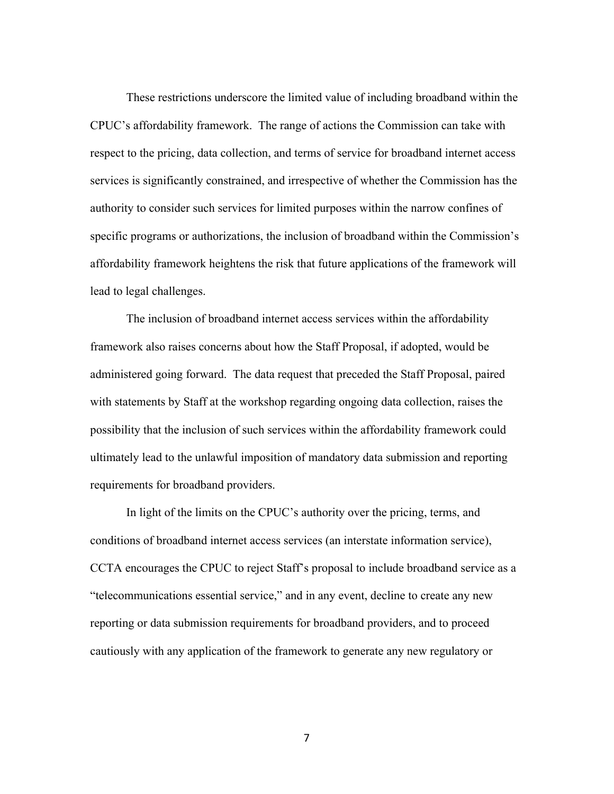These restrictions underscore the limited value of including broadband within the CPUC's affordability framework. The range of actions the Commission can take with respect to the pricing, data collection, and terms of service for broadband internet access services is significantly constrained, and irrespective of whether the Commission has the authority to consider such services for limited purposes within the narrow confines of specific programs or authorizations, the inclusion of broadband within the Commission's affordability framework heightens the risk that future applications of the framework will lead to legal challenges.

The inclusion of broadband internet access services within the affordability framework also raises concerns about how the Staff Proposal, if adopted, would be administered going forward. The data request that preceded the Staff Proposal, paired with statements by Staff at the workshop regarding ongoing data collection, raises the possibility that the inclusion of such services within the affordability framework could ultimately lead to the unlawful imposition of mandatory data submission and reporting requirements for broadband providers.

In light of the limits on the CPUC's authority over the pricing, terms, and conditions of broadband internet access services (an interstate information service), CCTA encourages the CPUC to reject Staff's proposal to include broadband service as a "telecommunications essential service," and in any event, decline to create any new reporting or data submission requirements for broadband providers, and to proceed cautiously with any application of the framework to generate any new regulatory or

7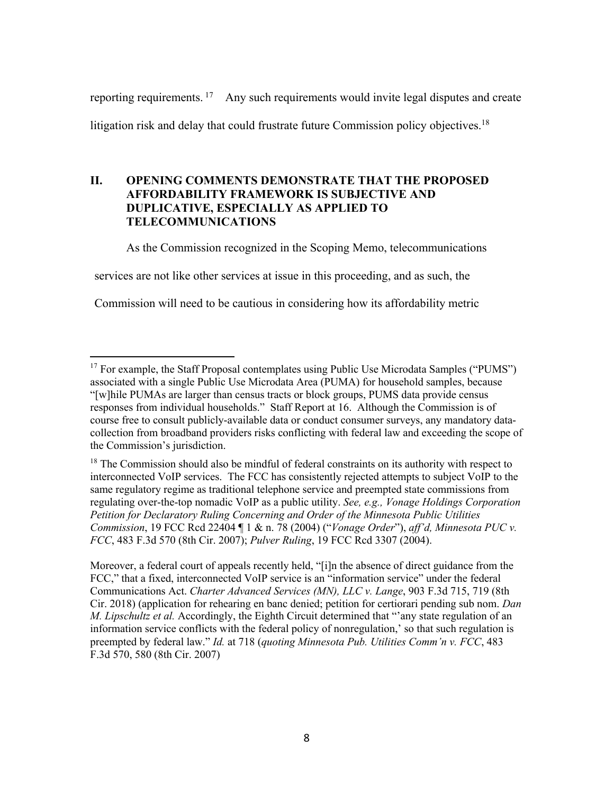reporting requirements. <sup>17</sup> Any such requirements would invite legal disputes and create litigation risk and delay that could frustrate future Commission policy objectives.<sup>18</sup>

## **II. OPENING COMMENTS DEMONSTRATE THAT THE PROPOSED AFFORDABILITY FRAMEWORK IS SUBJECTIVE AND DUPLICATIVE, ESPECIALLY AS APPLIED TO TELECOMMUNICATIONS**

As the Commission recognized in the Scoping Memo, telecommunications

services are not like other services at issue in this proceeding, and as such, the

Commission will need to be cautious in considering how its affordability metric

<sup>18</sup> The Commission should also be mindful of federal constraints on its authority with respect to interconnected VoIP services. The FCC has consistently rejected attempts to subject VoIP to the same regulatory regime as traditional telephone service and preempted state commissions from regulating over-the-top nomadic VoIP as a public utility. *See, e.g., Vonage Holdings Corporation Petition for Declaratory Ruling Concerning and Order of the Minnesota Public Utilities Commission*, 19 FCC Rcd 22404 ¶ 1 & n. 78 (2004) ("*Vonage Order*"), *aff'd, Minnesota PUC v. FCC*, 483 F.3d 570 (8th Cir. 2007); *Pulver Ruling*, 19 FCC Rcd 3307 (2004).

Moreover, a federal court of appeals recently held, "[i]n the absence of direct guidance from the FCC," that a fixed, interconnected VoIP service is an "information service" under the federal Communications Act. *Charter Advanced Services (MN), LLC v. Lange*, 903 F.3d 715, 719 (8th Cir. 2018) (application for rehearing en banc denied; petition for certiorari pending sub nom. *Dan M. Lipschultz et al.* Accordingly, the Eighth Circuit determined that "'any state regulation of an information service conflicts with the federal policy of nonregulation,' so that such regulation is preempted by federal law." *Id.* at 718 (*quoting Minnesota Pub. Utilities Comm'n v. FCC*, 483 F.3d 570, 580 (8th Cir. 2007)

<sup>&</sup>lt;sup>17</sup> For example, the Staff Proposal contemplates using Public Use Microdata Samples ("PUMS") associated with a single Public Use Microdata Area (PUMA) for household samples, because "[w]hile PUMAs are larger than census tracts or block groups, PUMS data provide census responses from individual households." Staff Report at 16. Although the Commission is of course free to consult publicly-available data or conduct consumer surveys, any mandatory datacollection from broadband providers risks conflicting with federal law and exceeding the scope of the Commission's jurisdiction.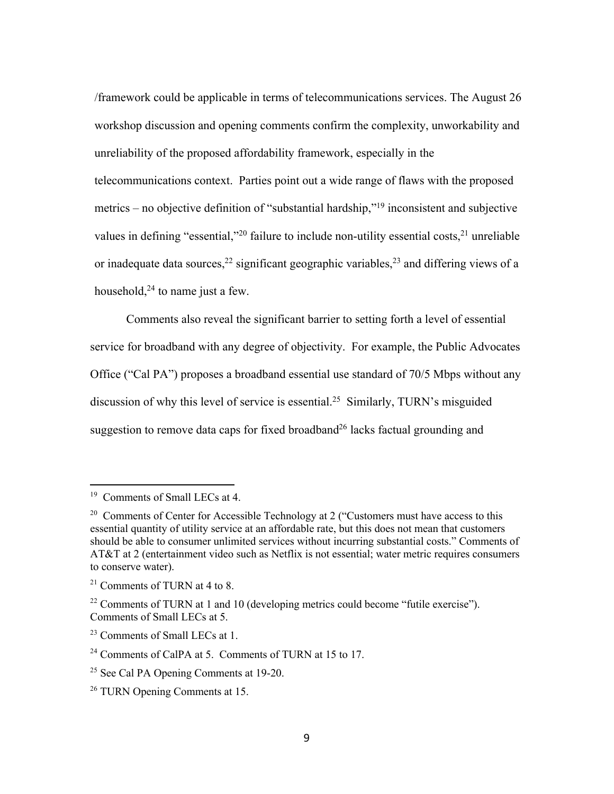/framework could be applicable in terms of telecommunications services. The August 26 workshop discussion and opening comments confirm the complexity, unworkability and unreliability of the proposed affordability framework, especially in the telecommunications context. Parties point out a wide range of flaws with the proposed metrics – no objective definition of "substantial hardship,"19 inconsistent and subjective

values in defining "essential,"<sup>20</sup> failure to include non-utility essential costs,<sup>21</sup> unreliable or inadequate data sources,<sup>22</sup> significant geographic variables,<sup>23</sup> and differing views of a household, $24$  to name just a few.

Comments also reveal the significant barrier to setting forth a level of essential service for broadband with any degree of objectivity. For example, the Public Advocates Office ("Cal PA") proposes a broadband essential use standard of 70/5 Mbps without any discussion of why this level of service is essential. 25 Similarly, TURN's misguided suggestion to remove data caps for fixed broadband<sup>26</sup> lacks factual grounding and

<sup>&</sup>lt;sup>19</sup> Comments of Small LECs at 4.

<sup>&</sup>lt;sup>20</sup> Comments of Center for Accessible Technology at 2 ("Customers must have access to this essential quantity of utility service at an affordable rate, but this does not mean that customers should be able to consumer unlimited services without incurring substantial costs." Comments of AT&T at 2 (entertainment video such as Netflix is not essential; water metric requires consumers to conserve water).

 $21$  Comments of TURN at 4 to 8.

 $22$  Comments of TURN at 1 and 10 (developing metrics could become "futile exercise"). Comments of Small LECs at 5.

<sup>&</sup>lt;sup>23</sup> Comments of Small LECs at 1.

 $24$  Comments of CalPA at 5. Comments of TURN at 15 to 17.

<sup>&</sup>lt;sup>25</sup> See Cal PA Opening Comments at 19-20.

<sup>&</sup>lt;sup>26</sup> TURN Opening Comments at 15.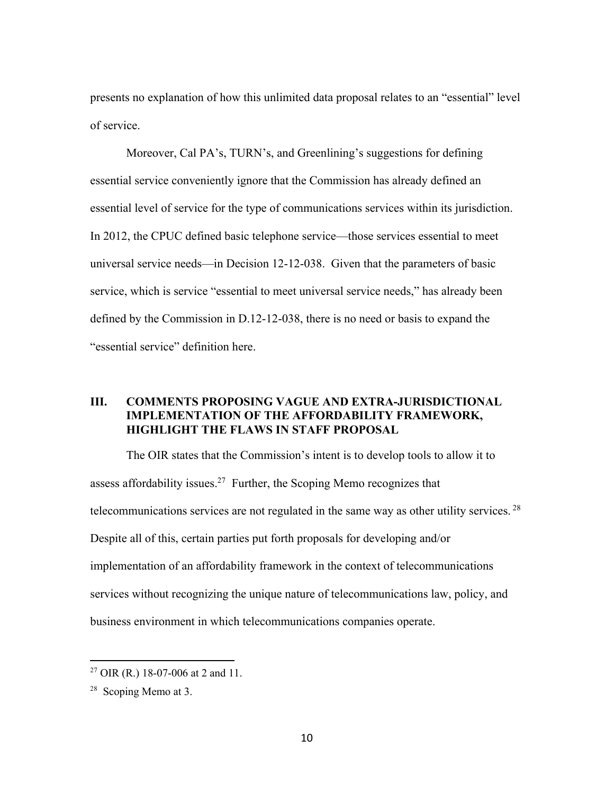presents no explanation of how this unlimited data proposal relates to an "essential" level of service.

Moreover, Cal PA's, TURN's, and Greenlining's suggestions for defining essential service conveniently ignore that the Commission has already defined an essential level of service for the type of communications services within its jurisdiction. In 2012, the CPUC defined basic telephone service—those services essential to meet universal service needs—in Decision 12-12-038. Given that the parameters of basic service, which is service "essential to meet universal service needs," has already been defined by the Commission in D.12-12-038, there is no need or basis to expand the "essential service" definition here.

## **III. COMMENTS PROPOSING VAGUE AND EXTRA-JURISDICTIONAL IMPLEMENTATION OF THE AFFORDABILITY FRAMEWORK, HIGHLIGHT THE FLAWS IN STAFF PROPOSAL**

The OIR states that the Commission's intent is to develop tools to allow it to assess affordability issues.<sup>27</sup> Further, the Scoping Memo recognizes that telecommunications services are not regulated in the same way as other utility services. 28 Despite all of this, certain parties put forth proposals for developing and/or implementation of an affordability framework in the context of telecommunications services without recognizing the unique nature of telecommunications law, policy, and business environment in which telecommunications companies operate.

<sup>27</sup> OIR (R.) 18-07-006 at 2 and 11.

 $28$  Scoping Memo at 3.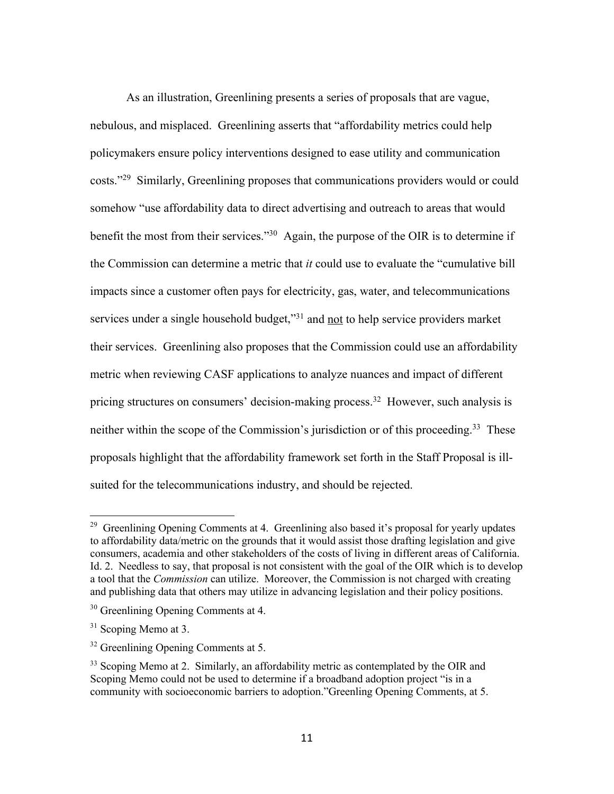As an illustration, Greenlining presents a series of proposals that are vague, nebulous, and misplaced. Greenlining asserts that "affordability metrics could help policymakers ensure policy interventions designed to ease utility and communication costs."29 Similarly, Greenlining proposes that communications providers would or could somehow "use affordability data to direct advertising and outreach to areas that would benefit the most from their services."<sup>30</sup> Again, the purpose of the OIR is to determine if the Commission can determine a metric that *it* could use to evaluate the "cumulative bill impacts since a customer often pays for electricity, gas, water, and telecommunications services under a single household budget,"<sup>31</sup> and not to help service providers market their services. Greenlining also proposes that the Commission could use an affordability metric when reviewing CASF applications to analyze nuances and impact of different pricing structures on consumers' decision-making process.<sup>32</sup> However, such analysis is neither within the scope of the Commission's jurisdiction or of this proceeding. 33 These proposals highlight that the affordability framework set forth in the Staff Proposal is illsuited for the telecommunications industry, and should be rejected.

<sup>&</sup>lt;sup>29</sup> Greenlining Opening Comments at 4. Greenlining also based it's proposal for yearly updates to affordability data/metric on the grounds that it would assist those drafting legislation and give consumers, academia and other stakeholders of the costs of living in different areas of California. Id. 2. Needless to say, that proposal is not consistent with the goal of the OIR which is to develop a tool that the *Commission* can utilize. Moreover, the Commission is not charged with creating and publishing data that others may utilize in advancing legislation and their policy positions.

<sup>&</sup>lt;sup>30</sup> Greenlining Opening Comments at 4.

 $31$  Scoping Memo at 3.

<sup>&</sup>lt;sup>32</sup> Greenlining Opening Comments at 5.

<sup>&</sup>lt;sup>33</sup> Scoping Memo at 2. Similarly, an affordability metric as contemplated by the OIR and Scoping Memo could not be used to determine if a broadband adoption project "is in a community with socioeconomic barriers to adoption."Greenling Opening Comments, at 5.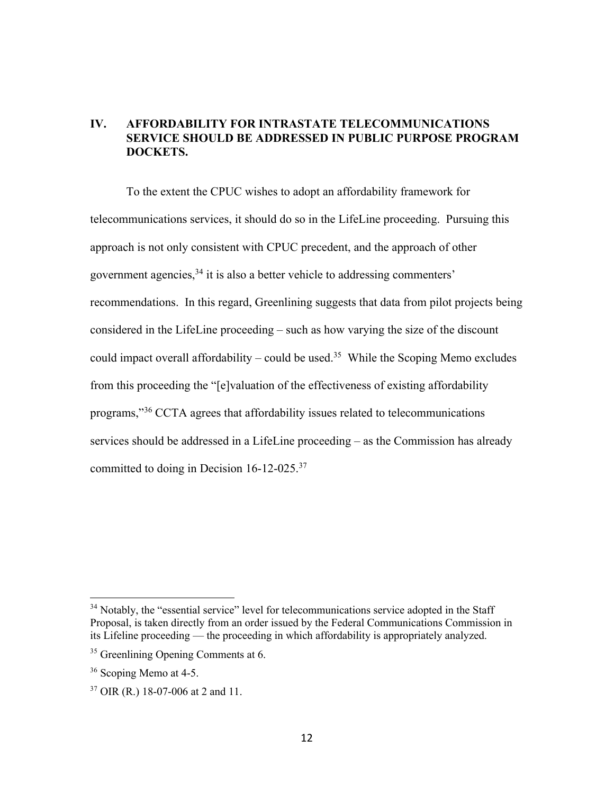# **IV. AFFORDABILITY FOR INTRASTATE TELECOMMUNICATIONS SERVICE SHOULD BE ADDRESSED IN PUBLIC PURPOSE PROGRAM DOCKETS.**

To the extent the CPUC wishes to adopt an affordability framework for telecommunications services, it should do so in the LifeLine proceeding. Pursuing this approach is not only consistent with CPUC precedent, and the approach of other government agencies, <sup>34</sup> it is also a better vehicle to addressing commenters' recommendations. In this regard, Greenlining suggests that data from pilot projects being considered in the LifeLine proceeding – such as how varying the size of the discount could impact overall affordability – could be used.<sup>35</sup> While the Scoping Memo excludes from this proceeding the "[e]valuation of the effectiveness of existing affordability programs,"36 CCTA agrees that affordability issues related to telecommunications services should be addressed in a LifeLine proceeding – as the Commission has already committed to doing in Decision 16-12-025.<sup>37</sup>

 $34$  Notably, the "essential service" level for telecommunications service adopted in the Staff Proposal, is taken directly from an order issued by the Federal Communications Commission in its Lifeline proceeding — the proceeding in which affordability is appropriately analyzed.

<sup>&</sup>lt;sup>35</sup> Greenlining Opening Comments at 6.

<sup>&</sup>lt;sup>36</sup> Scoping Memo at 4-5.

<sup>37</sup> OIR (R.) 18-07-006 at 2 and 11.